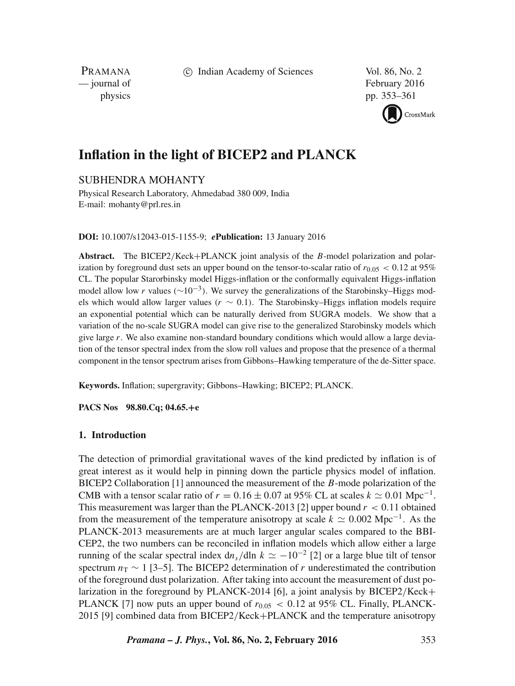c Indian Academy of Sciences Vol. 86, No. 2

PRAMANA<br>
— journal of

February 2016 physics pp. 353–361



# **Inflation in the light of BICEP2 and PLANCK**

# SUBHENDRA MOHANTY

Physical Research Laboratory, Ahmedabad 380 009, India E-mail: mohanty@prl.res.in

**DOI:** 10.1007/s12043-015-1155-9; *e***Publication:** 13 January 2016

**Abstract.** The BICEP2/Keck+PLANCK joint analysis of the B-model polarization and polarization by foreground dust sets an upper bound on the tensor-to-scalar ratio of  $r_{0.05}$  < 0.12 at 95% CL. The popular Starorbinsky model Higgs-inflation or the conformally equivalent Higgs-inflation model allow low r values ( $\sim 10^{-3}$ ). We survey the generalizations of the Starobinsky–Higgs models which would allow larger values ( $r \sim 0.1$ ). The Starobinsky–Higgs inflation models require an exponential potential which can be naturally derived from SUGRA models. We show that a variation of the no-scale SUGRA model can give rise to the generalized Starobinsky models which give large  $r$ . We also examine non-standard boundary conditions which would allow a large deviation of the tensor spectral index from the slow roll values and propose that the presence of a thermal component in the tensor spectrum arises from Gibbons–Hawking temperature of the de-Sitter space.

**Keywords.** Inflation; supergravity; Gibbons–Hawking; BICEP2; PLANCK.

**PACS Nos 98.80.Cq; 04.65.**+**e**

# **1. Introduction**

The detection of primordial gravitational waves of the kind predicted by inflation is of great interest as it would help in pinning down the particle physics model of inflation. BICEP2 Collaboration [1] announced the measurement of the B-mode polarization of the CMB with a tensor scalar ratio of  $r = 0.16 \pm 0.07$  at 95% CL at scales  $k \approx 0.01$  Mpc<sup>-1</sup>. This measurement was larger than the PLANCK-2013 [2] upper bound  $r < 0.11$  obtained from the measurement of the temperature anisotropy at scale  $k \approx 0.002 \text{ Mpc}^{-1}$ . As the PLANCK-2013 measurements are at much larger angular scales compared to the BBI-CEP2, the two numbers can be reconciled in inflation models which allow either a large running of the scalar spectral index  $dn_s/d\ln k \simeq -10^{-2}$  [2] or a large blue tilt of tensor spectrum  $n_T \sim 1$  [3–5]. The BICEP2 determination of r underestimated the contribution of the foreground dust polarization. After taking into account the measurement of dust polarization in the foreground by PLANCK-2014 [6], a joint analysis by BICEP2/Keck+ PLANCK [7] now puts an upper bound of  $r_{0.05} < 0.12$  at 95% CL. Finally, PLANCK-2015 [9] combined data from BICEP2/Keck+PLANCK and the temperature anisotropy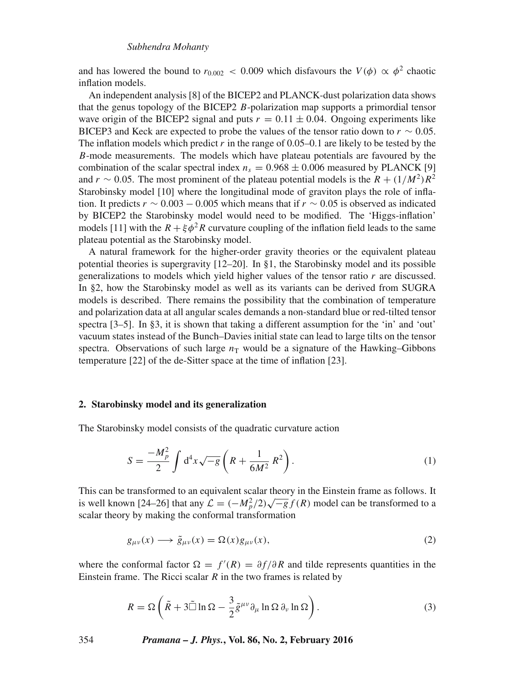and has lowered the bound to  $r_{0.002} < 0.009$  which disfavours the  $V(\phi) \propto \phi^2$  chaotic inflation models.

An independent analysis [8] of the BICEP2 and PLANCK-dust polarization data shows that the genus topology of the BICEP2 B-polarization map supports a primordial tensor wave origin of the BICEP2 signal and puts  $r = 0.11 \pm 0.04$ . Ongoing experiments like BICEP3 and Keck are expected to probe the values of the tensor ratio down to  $r \sim 0.05$ . The inflation models which predict r in the range of  $0.05-0.1$  are likely to be tested by the B-mode measurements. The models which have plateau potentials are favoured by the combination of the scalar spectral index  $n_s = 0.968 \pm 0.006$  measured by PLANCK [9] and  $r \sim 0.05$ . The most prominent of the plateau potential models is the  $R + (1/M^2)R^2$ Starobinsky model [10] where the longitudinal mode of graviton plays the role of inflation. It predicts  $r \sim 0.003 - 0.005$  which means that if  $r \sim 0.05$  is observed as indicated by BICEP2 the Starobinsky model would need to be modified. The 'Higgs-inflation' models [11] with the  $R + \xi \phi^2 R$  curvature coupling of the inflation field leads to the same plateau potential as the Starobinsky model.

A natural framework for the higher-order gravity theories or the equivalent plateau potential theories is supergravity  $[12–20]$ . In §1, the Starobinsky model and its possible generalizations to models which yield higher values of the tensor ratio  $r$  are discussed. In §2, how the Starobinsky model as well as its variants can be derived from SUGRA models is described. There remains the possibility that the combination of temperature and polarization data at all angular scales demands a non-standard blue or red-tilted tensor spectra [3–5]. In §3, it is shown that taking a different assumption for the 'in' and 'out' vacuum states instead of the Bunch–Davies initial state can lead to large tilts on the tensor spectra. Observations of such large  $n<sub>T</sub>$  would be a signature of the Hawking–Gibbons temperature [22] of the de-Sitter space at the time of inflation [23].

#### **2. Starobinsky model and its generalization**

The Starobinsky model consists of the quadratic curvature action

$$
S = \frac{-M_p^2}{2} \int d^4x \sqrt{-g} \left( R + \frac{1}{6M^2} R^2 \right). \tag{1}
$$

This can be transformed to an equivalent scalar theory in the Einstein frame as follows. It is well known [24–26] that any  $\mathcal{L} = (-M_p^2/2)\sqrt{-g} f(R)$  model can be transformed to a scalar theory by making the conformal transformation

$$
g_{\mu\nu}(x) \longrightarrow \tilde{g}_{\mu\nu}(x) = \Omega(x) g_{\mu\nu}(x), \tag{2}
$$

where the conformal factor  $\Omega = f'(R) = \partial f/\partial R$  and tilde represents quantities in the Einstein frame. The Ricci scalar  $R$  in the two frames is related by

$$
R = \Omega \left( \tilde{R} + 3 \tilde{\Box} \ln \Omega - \frac{3}{2} \tilde{g}^{\mu \nu} \partial_{\mu} \ln \Omega \partial_{\nu} \ln \Omega \right).
$$
 (3)

354 *Pramana – J. Phys.***, Vol. 86, No. 2, February 2016**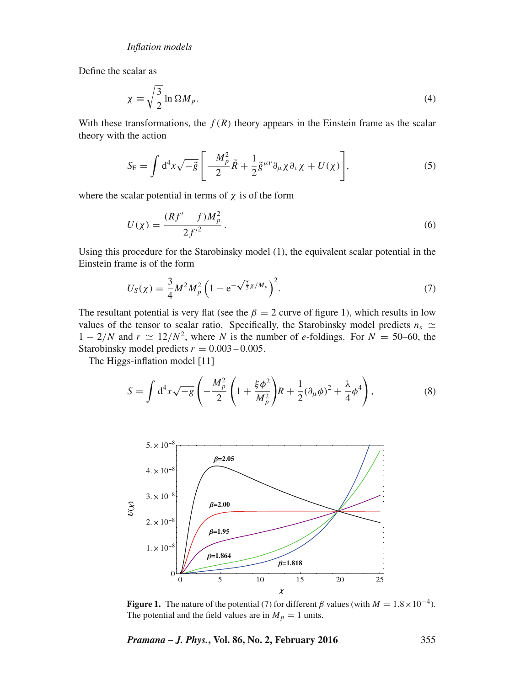Define the scalar as

$$
\chi \equiv \sqrt{\frac{3}{2}} \ln \Omega M_p. \tag{4}
$$

With these transformations, the  $f(R)$  theory appears in the Einstein frame as the scalar theory with the action

$$
S_{\rm E} = \int d^4x \sqrt{-\tilde{g}} \left[ \frac{-M_p^2}{2} \tilde{R} + \frac{1}{2} \tilde{g}^{\mu\nu} \partial_\mu \chi \partial_\nu \chi + U(\chi) \right],\tag{5}
$$

where the scalar potential in terms of  $\chi$  is of the form

$$
U(\chi) = \frac{(Rf' - f)M_p^2}{2f'^2}.
$$
\n(6)

Using this procedure for the Starobinsky model (1), the equivalent scalar potential in the Einstein frame is of the form

$$
U_S(\chi) = \frac{3}{4} M^2 M_p^2 \left( 1 - e^{-\sqrt{\frac{2}{3}} \chi / M_p} \right)^2.
$$
 (7)

The resultant potential is very flat (see the  $\beta = 2$  curve of figure 1), which results in low values of the tensor to scalar ratio. Specifically, the Starobinsky model predicts  $n_s \simeq$  $1 - 2/N$  and  $r \simeq 12/N^2$ , where N is the number of e-foldings. For  $N = 50{\text -}60$ , the Starobinsky model predicts  $r = 0.003 - 0.005$ .

The Higgs-inflation model [11]

$$
S = \int d^4x \sqrt{-g} \left( -\frac{M_p^2}{2} \left( 1 + \frac{\xi \phi^2}{M_p^2} \right) R + \frac{1}{2} (\partial_\mu \phi)^2 + \frac{\lambda}{4} \phi^4 \right),
$$
 (8)



**Figure 1.** The nature of the potential (7) for different  $\beta$  values (with  $M = 1.8 \times 10^{-4}$ ). The potential and the field values are in  $M_p = 1$  units.

*Pramana – J. Phys.***, Vol. 86, No. 2, February 2016** 355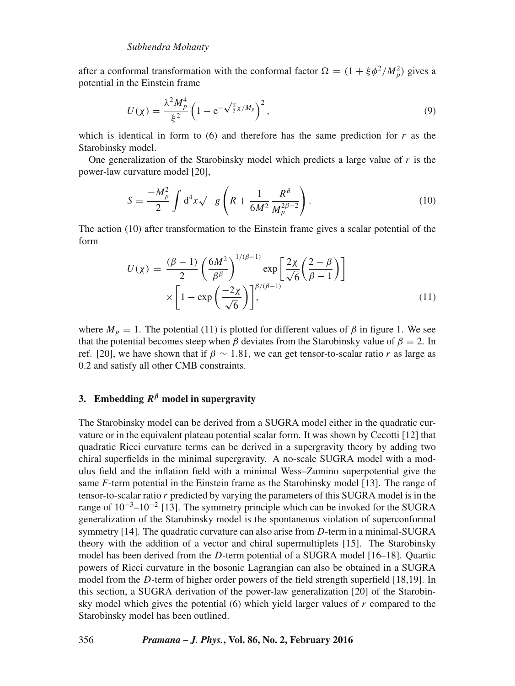after a conformal transformation with the conformal factor  $\Omega = (1 + \xi \phi^2 / M_p^2)$  gives a potential in the Einstein frame

$$
U(\chi) = \frac{\lambda^2 M_p^4}{\xi^2} \left( 1 - e^{-\sqrt{\frac{2}{3}} \chi / M_p} \right)^2, \tag{9}
$$

which is identical in form to  $(6)$  and therefore has the same prediction for r as the Starobinsky model.

One generalization of the Starobinsky model which predicts a large value of r is the power-law curvature model [20],

$$
S = \frac{-M_p^2}{2} \int d^4x \sqrt{-g} \left( R + \frac{1}{6M^2} \frac{R^\beta}{M_p^{2\beta - 2}} \right). \tag{10}
$$

The action (10) after transformation to the Einstein frame gives a scalar potential of the form

$$
U(\chi) = \frac{(\beta - 1)}{2} \left(\frac{6M^2}{\beta^{\beta}}\right)^{1/(\beta - 1)} \exp\left[\frac{2\chi}{\sqrt{6}} \left(\frac{2 - \beta}{\beta - 1}\right)\right]
$$

$$
\times \left[1 - \exp\left(\frac{-2\chi}{\sqrt{6}}\right)\right]^{\beta/(\beta - 1)} \tag{11}
$$

where  $M_p = 1$ . The potential (11) is plotted for different values of  $\beta$  in figure 1. We see that the potential becomes steep when  $\beta$  deviates from the Starobinsky value of  $\beta = 2$ . In ref. [20], we have shown that if  $\beta \sim 1.81$ , we can get tensor-to-scalar ratio r as large as 0.2 and satisfy all other CMB constraints.

# **3.** Embedding  $R^{\beta}$  model in supergravity

The Starobinsky model can be derived from a SUGRA model either in the quadratic curvature or in the equivalent plateau potential scalar form. It was shown by Cecotti [12] that quadratic Ricci curvature terms can be derived in a supergravity theory by adding two chiral superfields in the minimal supergravity. A no-scale SUGRA model with a modulus field and the inflation field with a minimal Wess–Zumino superpotential give the same *F*-term potential in the Einstein frame as the Starobinsky model [13]. The range of tensor-to-scalar ratio  $r$  predicted by varying the parameters of this SUGRA model is in the range of 10<sup>-3</sup>-10<sup>-2</sup> [13]. The symmetry principle which can be invoked for the SUGRA generalization of the Starobinsky model is the spontaneous violation of superconformal symmetry [14]. The quadratic curvature can also arise from D-term in a minimal-SUGRA theory with the addition of a vector and chiral supermultiplets [15]. The Starobinsky model has been derived from the D-term potential of a SUGRA model [16–18]. Quartic powers of Ricci curvature in the bosonic Lagrangian can also be obtained in a SUGRA model from the D-term of higher order powers of the field strength superfield [18,19]. In this section, a SUGRA derivation of the power-law generalization [20] of the Starobinsky model which gives the potential  $(6)$  which yield larger values of r compared to the Starobinsky model has been outlined.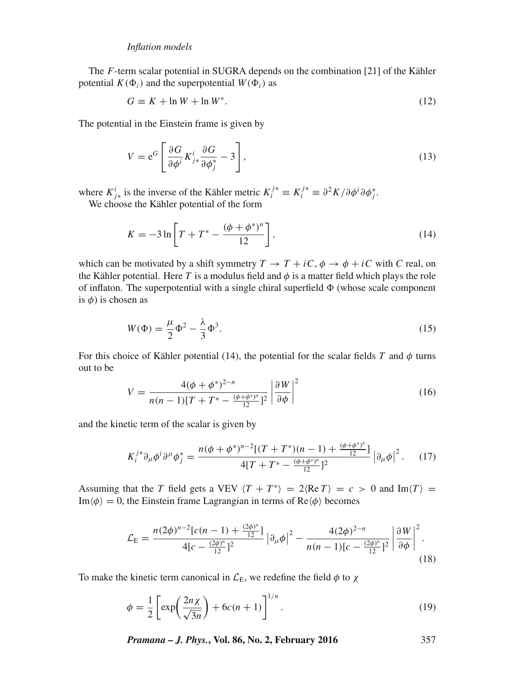The F-term scalar potential in SUGRA depends on the combination [21] of the Kähler potential  $K(\Phi_i)$  and the superpotential  $W(\Phi_i)$  as

$$
G \equiv K + \ln W + \ln W^*.
$$
 (12)

The potential in the Einstein frame is given by

$$
V = e^{G} \left[ \frac{\partial G}{\partial \phi^{i}} K^{i}_{j*} \frac{\partial G}{\partial \phi^{*}_{j}} - 3 \right],
$$
\n(13)

where  $K_{j*}^i$  is the inverse of the Kähler metric  $K_i^{j*} \equiv K_i^{j*} \equiv \frac{\partial^2 K}{\partial \phi^i \partial \phi^j}$ .

We choose the Kähler potential of the form

$$
K = -3\ln\left[T + T^* - \frac{(\phi + \phi^*)^n}{12}\right],\tag{14}
$$

which can be motivated by a shift symmetry  $T \to T + iC$ ,  $\phi \to \phi + iC$  with C real, on the Kähler potential. Here T is a modulus field and  $\phi$  is a matter field which plays the role of inflaton. The superpotential with a single chiral superfield  $\Phi$  (whose scale component is  $\phi$ ) is chosen as

$$
W(\Phi) = \frac{\mu}{2}\Phi^2 - \frac{\lambda}{3}\Phi^3.
$$
\n(15)

For this choice of Kähler potential (14), the potential for the scalar fields T and  $\phi$  turns out to be

$$
V = \frac{4(\phi + \phi^*)^{2-n}}{n(n-1)[T + T^* - \frac{(\phi + \phi^*)^n}{12}]^2} \left| \frac{\partial W}{\partial \phi} \right|^2 \tag{16}
$$

and the kinetic term of the scalar is given by

$$
K_i^{j*} \partial_\mu \phi^i \partial^\mu \phi_j^* = \frac{n(\phi + \phi^{*})^{n-2}[(T + T^*)(n - 1) + \frac{(\phi + \phi^{*})^n}{12}]}{4[T + T^* - \frac{(\phi + \phi^{*})^n}{12}]^2} \left| \partial_\mu \phi \right|^2. \tag{17}
$$

Assuming that the T field gets a VEV  $\langle T + T^* \rangle = 2 \langle \text{Re } T \rangle = c > 0$  and  $\text{Im}\langle T \rangle =$  $\text{Im}\langle \phi \rangle = 0$ , the Einstein frame Lagrangian in terms of Re $\langle \phi \rangle$  becomes

$$
\mathcal{L}_{\rm E} = \frac{n(2\phi)^{n-2} [c(n-1) + \frac{(2\phi)^n}{12}]}{4[c - \frac{(2\phi)^n}{12}]^2} \left| \partial_\mu \phi \right|^2 - \frac{4(2\phi)^{2-n}}{n(n-1)[c - \frac{(2\phi)^n}{12}]^2} \left| \frac{\partial W}{\partial \phi} \right|^2.
$$
\n(18)

To make the kinetic term canonical in  $\mathcal{L}_E$ , we redefine the field  $\phi$  to  $\chi$ 

$$
\phi = \frac{1}{2} \left[ \exp\left(\frac{2n\chi}{\sqrt{3n}}\right) + 6c(n+1) \right]^{1/n} . \tag{19}
$$

*Pramana – J. Phys.***, Vol. 86, No. 2, February 2016** 357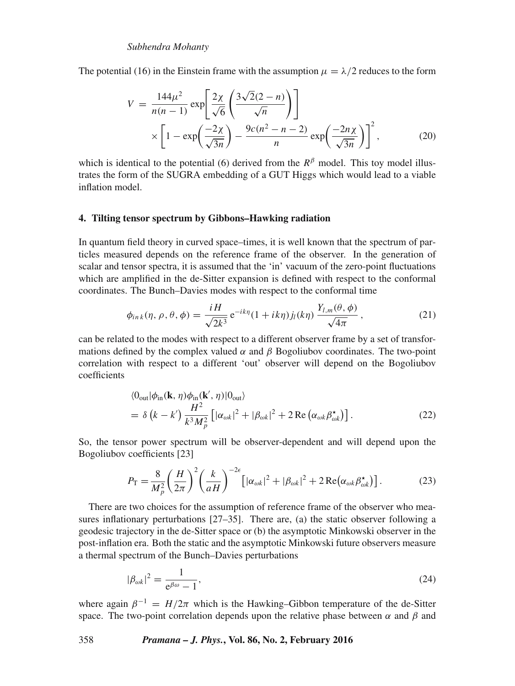The potential (16) in the Einstein frame with the assumption  $\mu = \lambda/2$  reduces to the form

$$
V = \frac{144\mu^2}{n(n-1)} \exp\left[\frac{2\chi}{\sqrt{6}} \left(\frac{3\sqrt{2}(2-n)}{\sqrt{n}}\right)\right]
$$

$$
\times \left[1 - \exp\left(\frac{-2\chi}{\sqrt{3n}}\right) - \frac{9c(n^2 - n - 2)}{n} \exp\left(\frac{-2n\chi}{\sqrt{3n}}\right)\right]^2, \tag{20}
$$

which is identical to the potential (6) derived from the  $R^{\beta}$  model. This toy model illustrates the form of the SUGRA embedding of a GUT Higgs which would lead to a viable inflation model.

# **4. Tilting tensor spectrum by Gibbons–Hawking radiation**

In quantum field theory in curved space–times, it is well known that the spectrum of particles measured depends on the reference frame of the observer. In the generation of scalar and tensor spectra, it is assumed that the 'in' vacuum of the zero-point fluctuations which are amplified in the de-Sitter expansion is defined with respect to the conformal coordinates. The Bunch–Davies modes with respect to the conformal time

$$
\phi_{ink}(\eta,\rho,\theta,\phi) = \frac{iH}{\sqrt{2k^3}} e^{-ik\eta} (1+ik\eta) j_l(k\eta) \frac{Y_{l,m}(\theta,\phi)}{\sqrt{4\pi}}, \qquad (21)
$$

can be related to the modes with respect to a different observer frame by a set of transformations defined by the complex valued  $\alpha$  and  $\beta$  Bogoliubov coordinates. The two-point correlation with respect to a different 'out' observer will depend on the Bogoliubov coefficients

$$
\langle 0_{\text{out}} | \phi_{\text{in}}(\mathbf{k}, \eta) \phi_{\text{in}}(\mathbf{k}', \eta) | 0_{\text{out}} \rangle
$$
  
=  $\delta (k - k') \frac{H^2}{k^3 M_p^2} \left[ |\alpha_{\omega k}|^2 + |\beta_{\omega k}|^2 + 2 \operatorname{Re} (\alpha_{\omega k} \beta_{\omega k}^*) \right].$  (22)

So, the tensor power spectrum will be observer-dependent and will depend upon the Bogoliubov coefficients [23]

$$
P_{\rm T} = \frac{8}{M_p^2} \left(\frac{H}{2\pi}\right)^2 \left(\frac{k}{aH}\right)^{-2\epsilon} \left[|\alpha_{\omega k}|^2 + |\beta_{\omega k}|^2 + 2\operatorname{Re}(\alpha_{\omega k} \beta_{\omega k}^{\star})\right].\tag{23}
$$

There are two choices for the assumption of reference frame of the observer who measures inflationary perturbations  $[27–35]$ . There are, (a) the static observer following a geodesic trajectory in the de-Sitter space or (b) the asymptotic Minkowski observer in the post-inflation era. Both the static and the asymptotic Minkowski future observers measure a thermal spectrum of the Bunch–Davies perturbations

$$
|\beta_{\omega k}|^2 = \frac{1}{e^{\beta \omega} - 1},\tag{24}
$$

where again  $\beta^{-1} = H/2\pi$  which is the Hawking–Gibbon temperature of the de-Sitter space. The two-point correlation depends upon the relative phase between  $\alpha$  and  $\beta$  and

### 358 *Pramana – J. Phys.***, Vol. 86, No. 2, February 2016**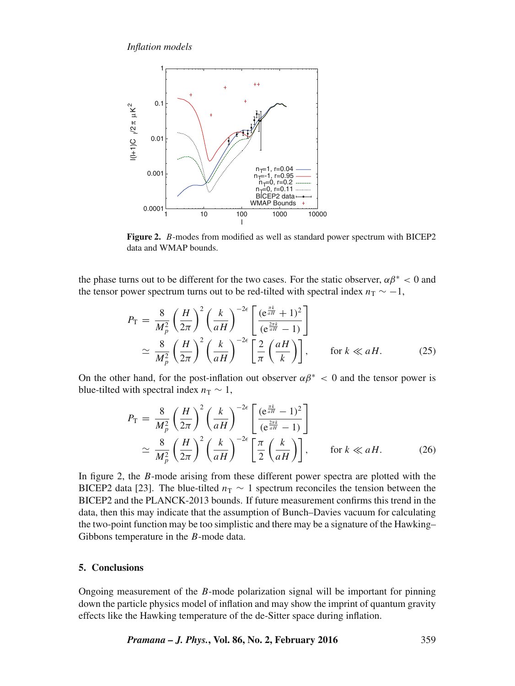

**Figure 2.** B-modes from modified as well as standard power spectrum with BICEP2 data and WMAP bounds.

the phase turns out to be different for the two cases. For the static observer,  $\alpha\beta^* < 0$  and the tensor power spectrum turns out to be red-tilted with spectral index  $n<sub>T</sub> \sim -1$ ,

$$
P_{\rm T} = \frac{8}{M_p^2} \left(\frac{H}{2\pi}\right)^2 \left(\frac{k}{aH}\right)^{-2\epsilon} \left[\frac{(\mathrm{e}^{\frac{\pi k}{aH}} + 1)^2}{(\mathrm{e}^{\frac{2\pi k}{aH}} - 1)}\right] \approx \frac{8}{M_p^2} \left(\frac{H}{2\pi}\right)^2 \left(\frac{k}{aH}\right)^{-2\epsilon} \left[\frac{2}{\pi} \left(\frac{aH}{k}\right)\right], \qquad \text{for } k \ll aH. \tag{25}
$$

On the other hand, for the post-inflation out observer  $\alpha\beta^* < 0$  and the tensor power is blue-tilted with spectral index  $n_T \sim 1$ ,

$$
P_{\rm T} = \frac{8}{M_p^2} \left(\frac{H}{2\pi}\right)^2 \left(\frac{k}{aH}\right)^{-2\epsilon} \left[\frac{(\mathrm{e}^{\frac{\pi k}{aH}} - 1)^2}{(\mathrm{e}^{\frac{2\pi k}{aH}} - 1)}\right] \approx \frac{8}{M_p^2} \left(\frac{H}{2\pi}\right)^2 \left(\frac{k}{aH}\right)^{-2\epsilon} \left[\frac{\pi}{2} \left(\frac{k}{aH}\right)\right], \qquad \text{for } k \ll aH. \tag{26}
$$

In figure 2, the B-mode arising from these different power spectra are plotted with the BICEP2 data [23]. The blue-tilted  $n<sub>T</sub> \sim 1$  spectrum reconciles the tension between the BICEP2 and the PLANCK-2013 bounds. If future measurement confirms this trend in the data, then this may indicate that the assumption of Bunch–Davies vacuum for calculating the two-point function may be too simplistic and there may be a signature of the Hawking– Gibbons temperature in the B-mode data.

### **5. Conclusions**

Ongoing measurement of the B-mode polarization signal will be important for pinning down the particle physics model of inflation and may show the imprint of quantum gravity effects like the Hawking temperature of the de-Sitter space during inflation.

*Pramana – J. Phys.***, Vol. 86, No. 2, February 2016** 359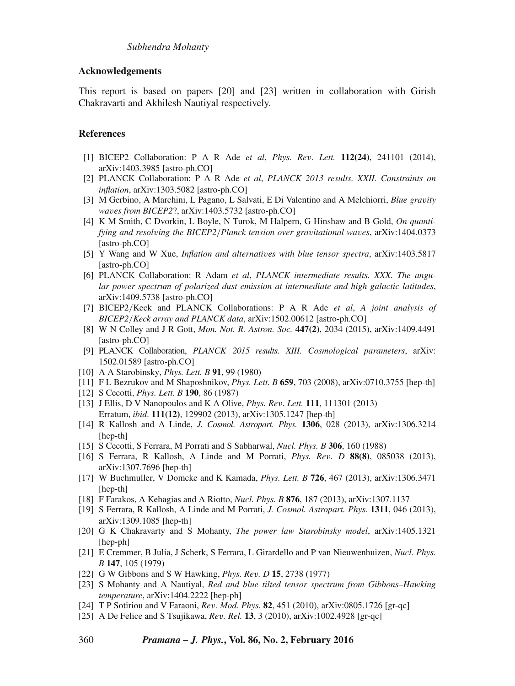## **Acknowledgements**

This report is based on papers [20] and [23] written in collaboration with Girish Chakravarti and Akhilesh Nautiyal respectively.

# **References**

- [1] BICEP2 Collaboration: P A R Ade *et al*, *Phys. Re*v*. Lett.* **112(24)**, 241101 (2014), arXiv:1403.3985 [astro-ph.CO]
- [2] PLANCK Collaboration: P A R Ade *et al*, *PLANCK 2013 results. XXII. Constraints on inflation*, arXiv:1303.5082 [astro-ph.CO]
- [3] M Gerbino, A Marchini, L Pagano, L Salvati, E Di Valentino and A Melchiorri, *Blue gra*v*ity wa*v*es from BICEP2*?, arXiv:1403.5732 [astro-ph.CO]
- [4] K M Smith, C Dvorkin, L Boyle, N Turok, M Halpern, G Hinshaw and B Gold, *On quantifying and resol*v*ing the BICEP2*/*Planck tension over gra*v*itational wa*v*es*, arXiv:1404.0373 [astro-ph.CO]
- [5] Y Wang and W Xue, *Inflation and alternati*v*es with blue tensor spectra*, arXiv:1403.5817 [astro-ph.CO]
- [6] PLANCK Collaboration: R Adam *et al*, *PLANCK intermediate results. XXX. The angular power spectrum of polarized dust emission at intermediate and high galactic latitudes*, arXiv:1409.5738 [astro-ph.CO]
- [7] BICEP2/Keck and PLANCK Collaborations: P A R Ade *et al*, *A joint analysis of BICEP2*/*Keck array and PLANCK data*, arXiv:1502.00612 [astro-ph.CO]
- [8] W N Colley and J R Gott, *Mon. Not. R. Astron. Soc.* **447(2)**, 2034 (2015), arXiv:1409.4491 [astro-ph.CO]
- [9] PLANCK Collaboration, *PLANCK 2015 results. XIII. Cosmological parameters*, arXiv: 1502.01589 [astro-ph.CO]
- [10] A A Starobinsky, *Phys. Lett. B* **91**, 99 (1980)
- [11] F L Bezrukov and M Shaposhnikov, *Phys. Lett. B* **659**, 703 (2008), arXiv:0710.3755 [hep-th]
- [12] S Cecotti, *Phys. Lett. B* **190**, 86 (1987)
- [13] J Ellis, D V Nanopoulos and K A Olive, *Phys. Re*v*. Lett.* **111**, 111301 (2013) Erratum, *ibid*. **111(12)**, 129902 (2013), arXiv:1305.1247 [hep-th]
- [14] R Kallosh and A Linde, *J. Cosmol. Astropart. Phys.* **1306**, 028 (2013), arXiv:1306.3214 [hep-th]
- [15] S Cecotti, S Ferrara, M Porrati and S Sabharwal, *Nucl. Phys. B* **306**, 160 (1988)
- [16] S Ferrara, R Kallosh, A Linde and M Porrati, *Phys. Re*v*. D* **88(8)**, 085038 (2013), arXiv:1307.7696 [hep-th]
- [17] W Buchmuller, V Domcke and K Kamada, *Phys. Lett. B* **726**, 467 (2013), arXiv:1306.3471 [hep-th]
- [18] F Farakos, A Kehagias and A Riotto, *Nucl. Phys. B* **876**, 187 (2013), arXiv:1307.1137
- [19] S Ferrara, R Kallosh, A Linde and M Porrati, *J. Cosmol. Astropart. Phys.* **1311**, 046 (2013), arXiv:1309.1085 [hep-th]
- [20] G K Chakravarty and S Mohanty, *The power law Starobinsky model*, arXiv:1405.1321 [hep-ph]
- [21] E Cremmer, B Julia, J Scherk, S Ferrara, L Girardello and P van Nieuwenhuizen, *Nucl. Phys. B* **147**, 105 (1979)
- [22] G W Gibbons and S W Hawking, *Phys. Re*v*. D* **15**, 2738 (1977)
- [23] S Mohanty and A Nautiyal, *Red and blue tilted tensor spectrum from Gibbons–Hawking temperature*, arXiv:1404.2222 [hep-ph]
- [24] T P Sotiriou and V Faraoni, *Re*v*. Mod. Phys.* **82**, 451 (2010), arXiv:0805.1726 [gr-qc]
- [25] A De Felice and S Tsujikawa, *Re*v*. Rel.* **13**, 3 (2010), arXiv:1002.4928 [gr-qc]